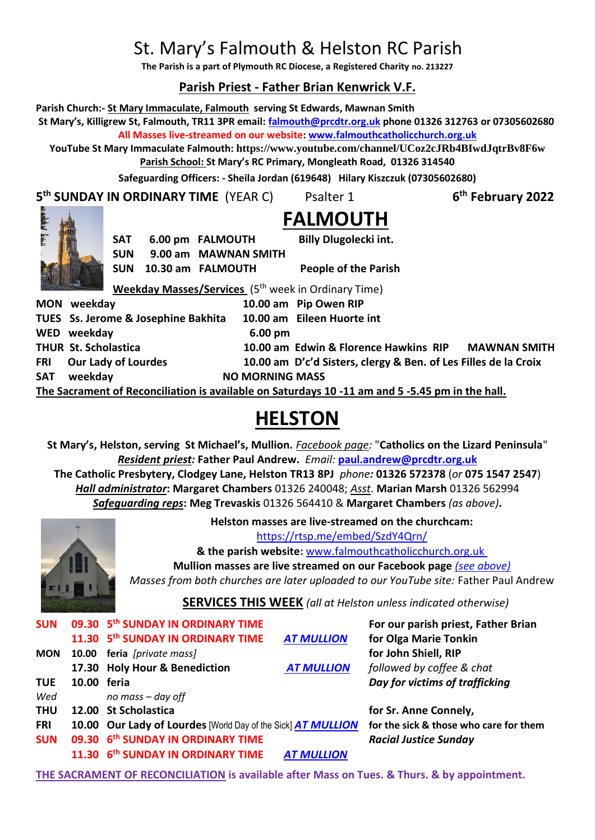# St. Mary's Falmouth & Helston RC Parish

**The Parish is a part of Plymouth RC Diocese, a Registered Charity no. 213227**

# **Parish Priest - Father Brian Kenwrick V.F.**

**Parish Church:- St Mary Immaculate, Falmouth serving St Edwards, Mawnan Smith**

**St Mary's, Killigrew St, Falmouth, TR11 3PR email: [falmouth@prcdtr.org.uk](mailto:falmouth@prcdtr.org.uk) phone 01326 312763 or 07305602680 All Masses live-streamed on our website[: www.falmouthcatholicchurch.org.uk](http://www.falmouthcatholicchurch.org.uk/)**

**YouTube St Mary Immaculate Falmouth: <https://www.youtube.com/channel/UCoz2cJRb4BIwdJqtrBv8F6w> Parish School: St Mary's RC Primary, Mongleath Road, 01326 314540**

**Safeguarding Officers: - Sheila Jordan (619648) Hilary Kiszczuk (07305602680)**

**5 th SUNDAY IN ORDINARY TIME** (YEAR C) Psalter 1 **6**

**th February 2022**



**FALMOUTH SAT 6.00 pm FALMOUTH Billy Dlugolecki int. SUN 9.00 am MAWNAN SMITH** 

**SUN 10.30 am FALMOUTH People of the Parish** 

**Weekday Masses/Services** (5 th week in Ordinary Time)

|                                                                                                 |     | MON weekday                         |                        | 10.00 am Pip Owen RIP                                           |                     |  |  |  |
|-------------------------------------------------------------------------------------------------|-----|-------------------------------------|------------------------|-----------------------------------------------------------------|---------------------|--|--|--|
|                                                                                                 |     | TUES Ss. Jerome & Josephine Bakhita |                        | 10.00 am Eileen Huorte int                                      |                     |  |  |  |
|                                                                                                 |     | WED weekday                         | $6.00 \text{ pm}$      |                                                                 |                     |  |  |  |
|                                                                                                 |     | <b>THUR St. Scholastica</b>         |                        | 10.00 am Edwin & Florence Hawkins RIP                           | <b>MAWNAN SMITH</b> |  |  |  |
|                                                                                                 | FRI | <b>Our Lady of Lourdes</b>          |                        | 10.00 am D'c'd Sisters, clergy & Ben. of Les Filles de la Croix |                     |  |  |  |
|                                                                                                 | SAT | weekday                             | <b>NO MORNING MASS</b> |                                                                 |                     |  |  |  |
| The Secrement of Reconciliation is available on Saturdays 10, 11 am and 5, 5, 45 nm in the hall |     |                                     |                        |                                                                 |                     |  |  |  |

**The Sacrament of Reconciliation is available on Saturdays 10 -11 am and 5 -5.45 pm in the hall.**

# **HELSTON**

**St Mary's, Helston, serving St Michael's, Mullion.** *Facebook page:* "**Catholics on the Lizard Peninsula**" *Resident priest:* **Father Paul Andrew.** *Email:* **[paul.andrew@prcdtr.org.uk](mailto:paul.andrew@prcdtr.org.uk) The Catholic Presbytery, Clodgey Lane, Helston TR13 8PJ** *phone:* **01326 572378** (*or* **075 1547 2547**) *Hall administrator***: Margaret Chambers** 01326 240048; *Asst*. **Marian Marsh** 01326 562994 *Safeguarding reps***: Meg Trevaskis** 01326 564410 & **Margaret Chambers** *(as above)***.** 



**Helston masses are live-streamed on the churchcam:** 

<https://rtsp.me/embed/SzdY4Qrn/>

**& the parish website:** [www.falmouthcatholicchurch.org.uk](http://www.falmouthcatholicchurch.org.uk/)

**Mullion masses are live streamed on our Facebook page** *(see above) Masses from both churches are later uploaded to our YouTube site:* Father Paul Andrew

**SERVICES THIS WEEK** *(all at Helston unless indicated otherwise)*

| <b>SUN</b> |             | 09.30 5 <sup>th</sup> SUNDAY IN ORDINARY TIME                |                   | For our parish priest, Father Brian    |
|------------|-------------|--------------------------------------------------------------|-------------------|----------------------------------------|
|            |             | 11.30 5 <sup>th</sup> SUNDAY IN ORDINARY TIME                | <b>AT MULLION</b> | for Olga Marie Tonkin                  |
| <b>MON</b> |             | 10.00 feria [private mass]                                   |                   | for John Shiell, RIP                   |
|            |             | 17.30 Holy Hour & Benediction                                | <b>AT MULLION</b> | followed by coffee & chat              |
| <b>TUE</b> | 10.00 feria |                                                              |                   | Day for victims of trafficking         |
| Wed        |             | no mass - day off                                            |                   |                                        |
| <b>THU</b> |             | 12.00 St Scholastica                                         |                   | for Sr. Anne Connely,                  |
| <b>FRI</b> |             | 10.00 Our Lady of Lourdes [World Day of the Sick] AT MULLION |                   | for the sick & those who care for them |
| <b>SUN</b> |             | 09.30 6th SUNDAY IN ORDINARY TIME                            |                   | <b>Racial Justice Sunday</b>           |
|            |             | 11.30 6 <sup>th</sup> SUNDAY IN ORDINARY TIME                | <b>AT MULLION</b> |                                        |

**THE SACRAMENT OF RECONCILIATION is available after Mass on Tues. & Thurs. & by appointment.**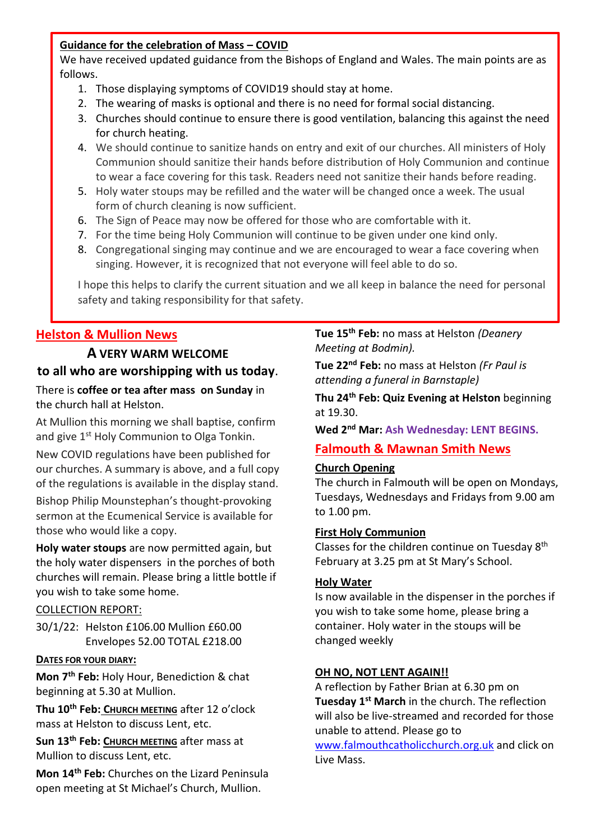# **Guidance for the celebration of Mass – COVID**

We have received updated guidance from the Bishops of England and Wales. The main points are as follows.

- 1. Those displaying symptoms of COVID19 should stay at home.
- 2. The wearing of masks is optional and there is no need for formal social distancing.
- 3. Churches should continue to ensure there is good ventilation, balancing this against the need for church heating.
- 4. We should continue to sanitize hands on entry and exit of our churches. All ministers of Holy Communion should sanitize their hands before distribution of Holy Communion and continue to wear a face covering for this task. Readers need not sanitize their hands before reading.
- 5. Holy water stoups may be refilled and the water will be changed once a week. The usual form of church cleaning is now sufficient.
- 6. The Sign of Peace may now be offered for those who are comfortable with it.
- 7. For the time being Holy Communion will continue to be given under one kind only.
- 8. Congregational singing may continue and we are encouraged to wear a face covering when singing. However, it is recognized that not everyone will feel able to do so.

I hope this helps to clarify the current situation and we all keep in balance the need for personal safety and taking responsibility for that safety.

# **Helston & Mullion News**

# **A VERY WARM WELCOME to all who are worshipping with us today**.

There is **coffee or tea after mass on Sunday** in the church hall at Helston.

At Mullion this morning we shall baptise, confirm and give 1<sup>st</sup> Holy Communion to Olga Tonkin.

New COVID regulations have been published for our churches. A summary is above, and a full copy of the regulations is available in the display stand.

Bishop Philip Mounstephan's thought-provoking sermon at the Ecumenical Service is available for those who would like a copy.

**Holy water stoups** are now permitted again, but the holy water dispensers in the porches of both churches will remain. Please bring a little bottle if you wish to take some home.

# COLLECTION REPORT:

30/1/22: Helston £106.00 Mullion £60.00 Envelopes 52.00 TOTAL £218.00

# **DATES FOR YOUR DIARY:**

**Mon 7th Feb:** Holy Hour, Benediction & chat beginning at 5.30 at Mullion.

**Thu 10th Feb: CHURCH MEETING** after 12 o'clock mass at Helston to discuss Lent, etc.

**Sun 13th Feb: CHURCH MEETING** after mass at Mullion to discuss Lent, etc.

**Mon 14th Feb:** Churches on the Lizard Peninsula open meeting at St Michael's Church, Mullion.

**Tue 15th Feb:** no mass at Helston *(Deanery Meeting at Bodmin).*

**Tue 22nd Feb:** no mass at Helston *(Fr Paul is attending a funeral in Barnstaple)*

**Thu 24th Feb: Quiz Evening at Helston** beginning at 19.30.

**Wed 2nd Mar: Ash Wednesday: LENT BEGINS.**

# **Falmouth & Mawnan Smith News**

# **Church Opening**

The church in Falmouth will be open on Mondays, Tuesdays, Wednesdays and Fridays from 9.00 am to 1.00 pm.

## **First Holy Communion**

Classes for the children continue on Tuesday 8<sup>th</sup> February at 3.25 pm at St Mary's School.

## **Holy Water**

Is now available in the dispenser in the porches if you wish to take some home, please bring a container. Holy water in the stoups will be changed weekly

## **OH NO, NOT LENT AGAIN!!**

A reflection by Father Brian at 6.30 pm on **Tuesday 1st March** in the church. The reflection will also be live-streamed and recorded for those unable to attend. Please go to

[www.falmouthcatholicchurch.org.uk](http://www.falmouthcatholicchurch.org.uk/) and click on Live Mass.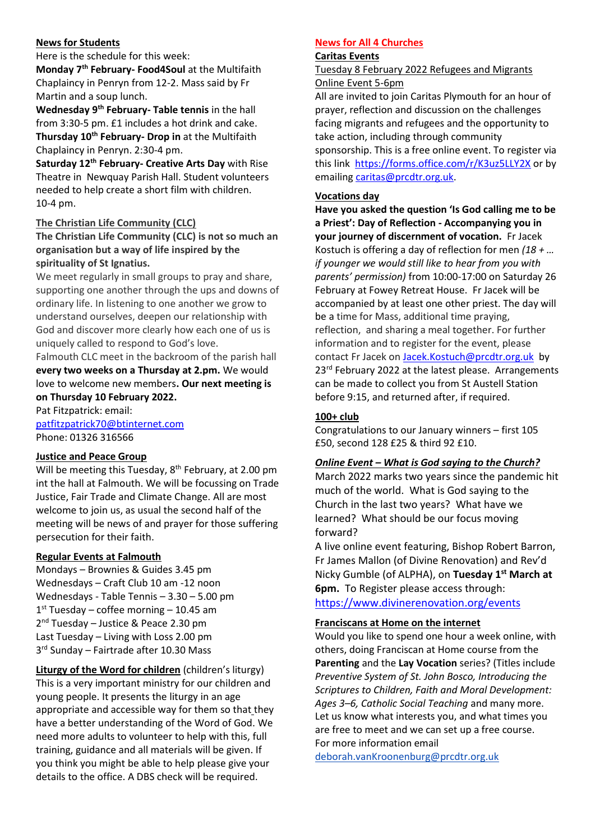#### **News for Students**

Here is the schedule for this week: **Monday 7th February- Food4Soul** at the Multifaith Chaplaincy in Penryn from 12-2. Mass said by Fr Martin and a soup lunch.

**Wednesday 9th February- Table tennis** in the hall from 3:30-5 pm. £1 includes a hot drink and cake. **Thursday 10th February- Drop in** at the Multifaith Chaplaincy in Penryn. 2:30-4 pm.

**Saturday 12th February- Creative Arts Day** with Rise Theatre in Newquay Parish Hall. Student volunteers needed to help create a short film with children. 10-4 pm.

## **The Christian Life Community (CLC)**

**The Christian Life Community (CLC) is not so much an organisation but a way of life inspired by the spirituality of St Ignatius.**

We meet regularly in small groups to pray and share, supporting one another through the ups and downs of ordinary life. In listening to one another we grow to understand ourselves, deepen our relationship with God and discover more clearly how each one of us is uniquely called to respond to God's love.

Falmouth CLC meet in the backroom of the parish hall **every two weeks on a Thursday at 2.pm.** We would love to welcome new members**. Our next meeting is on Thursday 10 February 2022.**

Pat Fitzpatrick: email: [patfitzpatrick70@btinternet.com](mailto:patfitzpatrick70@btinternet.com) Phone: 01326 316566

#### **Justice and Peace Group**

Will be meeting this Tuesday,  $8<sup>th</sup>$  February, at 2.00 pm int the hall at Falmouth. We will be focussing on Trade Justice, Fair Trade and Climate Change. All are most welcome to join us, as usual the second half of the meeting will be news of and prayer for those suffering persecution for their faith.

## **Regular Events at Falmouth**

Mondays – Brownies & Guides 3.45 pm Wednesdays – Craft Club 10 am -12 noon Wednesdays - Table Tennis – 3.30 – 5.00 pm 1 st Tuesday – coffee morning – 10.45 am 2<sup>nd</sup> Tuesday - Justice & Peace 2.30 pm Last Tuesday – Living with Loss 2.00 pm 3 rd Sunday – Fairtrade after 10.30 Mass

**Liturgy of the Word for children** (children's liturgy) This is a very important ministry for our children and young people. It presents the liturgy in an age appropriate and accessible way for them so that they have a better understanding of the Word of God. We need more adults to volunteer to help with this, full training, guidance and all materials will be given. If you think you might be able to help please give your details to the office. A DBS check will be required.

#### **News for All 4 Churches**

## **Caritas Events**

Tuesday 8 February 2022 Refugees and Migrants Online Event 5-6pm

All are invited to join Caritas Plymouth for an hour of prayer, reflection and discussion on the challenges facing migrants and refugees and the opportunity to take action, including through community sponsorship. This is a free online event. To register via this link <https://forms.office.com/r/K3uz5LLY2X> or by emailing [caritas@prcdtr.org.uk.](mailto:caritas@prcdtr.org.uk)

#### **Vocations day**

**Have you asked the question 'Is God calling me to be a Priest': Day of Reflection - Accompanying you in your journey of discernment of vocation.** Fr Jacek Kostuch is offering a day of reflection for men *(18 + … if younger we would still like to hear from you with parents' permission)* from 10:00-17:00 on Saturday 26 February at Fowey Retreat House. Fr Jacek will be accompanied by at least one other priest. The day will be a time for Mass, additional time praying, reflection, and sharing a meal together. For further information and to register for the event, please contact Fr Jacek on [Jacek.Kostuch@prcdtr.org.uk](mailto:Jacek.Kostuch@prcdtr.org.uk) by 23<sup>rd</sup> February 2022 at the latest please. Arrangements can be made to collect you from St Austell Station before 9:15, and returned after, if required.

#### **100+ club**

Congratulations to our January winners – first 105 £50, second 128 £25 & third 92 £10.

#### *Online Event – What is God saying to the Church?*

March 2022 marks two years since the pandemic hit much of the world. What is God saying to the Church in the last two years? What have we learned? What should be our focus moving forward?

A live online event featuring, Bishop Robert Barron, Fr James Mallon (of Divine Renovation) and Rev'd Nicky Gumble (of ALPHA), on **Tuesday 1st March at 6pm.** To Register please access through: <https://www.divinerenovation.org/events>

#### **Franciscans at Home on the internet**

Would you like to spend one hour a week online, with others, doing Franciscan at Home course from the **Parenting** and the **Lay Vocation** series? (Titles include *Preventive System of St. John Bosco, Introducing the Scriptures to Children, Faith and Moral Development: Ages 3–6, Catholic Social Teaching* and many more. Let us know what interests you, and what times you are free to meet and we can set up a free course. For more information email

[deborah.vanKroonenburg@prcdtr.org.uk](mailto:deborah.vanKroonenburg@prcdtr.org.uk)